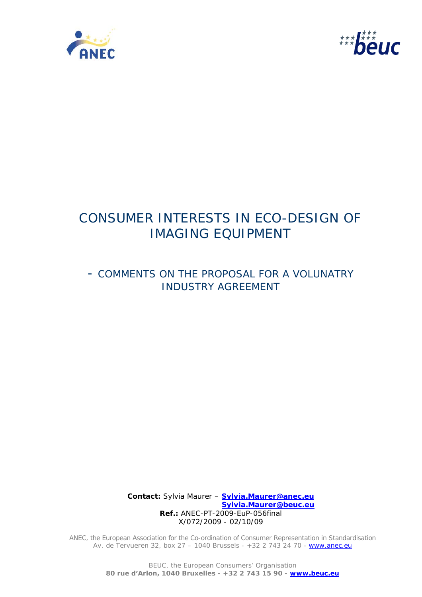



# CONSUMER INTERESTS IN ECO-DESIGN OF IMAGING EQUIPMENT

# - COMMENTS ON THE PROPOSAL FOR A VOLUNATRY INDUSTRY AGREEMENT

 **Contact:** Sylvia Maurer – **Sylvia.Maurer@anec.eu Sylvia.Maurer@beuc.eu Ref.:** ANEC-PT-2009-EuP-056final X/072/2009 - 02/10/09

ANEC, the European Association for the Co-ordination of Consumer Representation in Standardisation Av. de Tervueren 32, box 27 - 1040 Brussels - +32 2 743 24 70 - www.anec.eu

> BEUC, the European Consumers' Organisation **80 rue d'Arlon, 1040 Bruxelles - +32 2 743 15 90 - www.beuc.eu**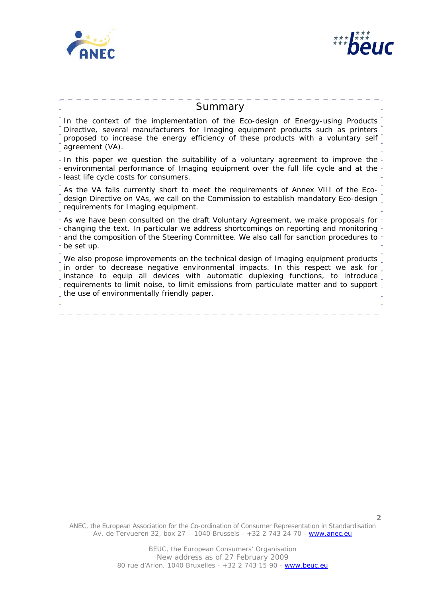



| Summary                                                                                                                                                                                                                                                                                                                                                                                                |
|--------------------------------------------------------------------------------------------------------------------------------------------------------------------------------------------------------------------------------------------------------------------------------------------------------------------------------------------------------------------------------------------------------|
| In the context of the implementation of the Eco-design of Energy-using Products<br>Directive, several manufacturers for Imaging equipment products such as printers<br>proposed to increase the energy efficiency of these products with a voluntary self<br>agreement (VA).                                                                                                                           |
| - In this paper we question the suitability of a voluntary agreement to improve the -<br>- environmental performance of Imaging equipment over the full life cycle and at the -<br>- least life cycle costs for consumers.                                                                                                                                                                             |
| As the VA falls currently short to meet the requirements of Annex VIII of the Eco-<br>design Directive on VAs, we call on the Commission to establish mandatory Eco-design<br>requirements for Imaging equipment.                                                                                                                                                                                      |
| - As we have been consulted on the draft Voluntary Agreement, we make proposals for -<br>- changing the text. In particular we address shortcomings on reporting and monitoring<br>- and the composition of the Steering Committee. We also call for sanction procedures to -<br>the set up.                                                                                                           |
| _We also propose improvements on the technical design of Imaging equipment products _<br>in order to decrease negative environmental impacts. In this respect we ask for<br>_instance to equip all devices with automatic duplexing functions, to introduce _<br>requirements to limit noise, to limit emissions from particulate matter and to support.<br>the use of environmentally friendly paper. |

ANEC, the European Association for the Co-ordination of Consumer Representation in Standardisation Av. de Tervueren 32, box 27 – 1040 Brussels - +32 2 743 24 70 - www.anec.eu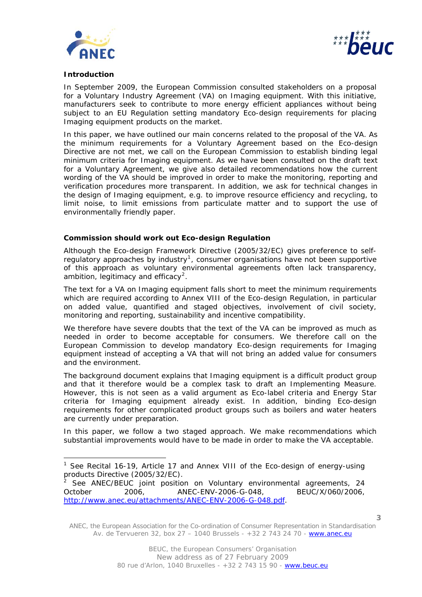



# **Introduction**

l

In September 2009, the European Commission consulted stakeholders on a proposal for a Voluntary Industry Agreement (VA) on Imaging equipment. With this initiative, manufacturers seek to contribute to more energy efficient appliances without being subject to an EU Regulation setting mandatory Eco-design requirements for placing Imaging equipment products on the market.

In this paper, we have outlined our main concerns related to the proposal of the VA. As the minimum requirements for a Voluntary Agreement based on the Eco-design Directive are not met, we call on the European Commission to establish binding legal minimum criteria for Imaging equipment. As we have been consulted on the draft text for a Voluntary Agreement, we give also detailed recommendations how the current wording of the VA should be improved in order to make the monitoring, reporting and verification procedures more transparent. In addition, we ask for technical changes in the design of Imaging equipment, e.g. to improve resource efficiency and recycling, to limit noise, to limit emissions from particulate matter and to support the use of environmentally friendly paper.

# **Commission should work out Eco-design Regulation**

Although the Eco-design Framework Directive (2005/32/EC) gives preference to self-regulatory approaches by industry<sup>[1](#page-2-0)</sup>, consumer organisations have not been supportive of this approach as voluntary environmental agreements often lack transparency, ambition, legitimacy and efficacy<sup>[2](#page-2-1)</sup>.

The text for a VA on Imaging equipment falls short to meet the minimum requirements which are required according to Annex VIII of the Eco-design Regulation, in particular on added value, quantified and staged objectives, involvement of civil society, monitoring and reporting, sustainability and incentive compatibility.

We therefore have severe doubts that the text of the VA can be improved as much as needed in order to become acceptable for consumers. We therefore call on the European Commission to develop mandatory Eco-design requirements for Imaging equipment instead of accepting a VA that will not bring an added value for consumers and the environment.

The background document explains that Imaging equipment is a difficult product group and that it therefore would be a complex task to draft an Implementing Measure. However, this is not seen as a valid argument as Eco-label criteria and Energy Star criteria for Imaging equipment already exist. In addition, binding Eco-design requirements for other complicated product groups such as boilers and water heaters are currently under preparation.

In this paper, we follow a two staged approach. We make recommendations which substantial improvements would have to be made in order to make the VA acceptable.

ANEC, the European Association for the Co-ordination of Consumer Representation in Standardisation Av. de Tervueren 32, box 27 – 1040 Brussels - +32 2 743 24 70 - www.anec.eu

<span id="page-2-0"></span><sup>&</sup>lt;sup>1</sup> See Recital 16-19, Article 17 and Annex VIII of the Eco-design of energy-using products Directive (2005/32/EC).<br><sup>2</sup> See ANEC/REUC joint position

<span id="page-2-1"></span>See ANEC/BEUC joint position on Voluntary environmental agreements, 24 October 2006, ANEC-ENV-2006-G-048, BEUC/X/060/2006, [http://www.anec.eu/attachments/ANEC-ENV-2006-G-048.pdf.](http://www.anec.eu/attachments/ANEC-ENV-2006-G-048.pdf)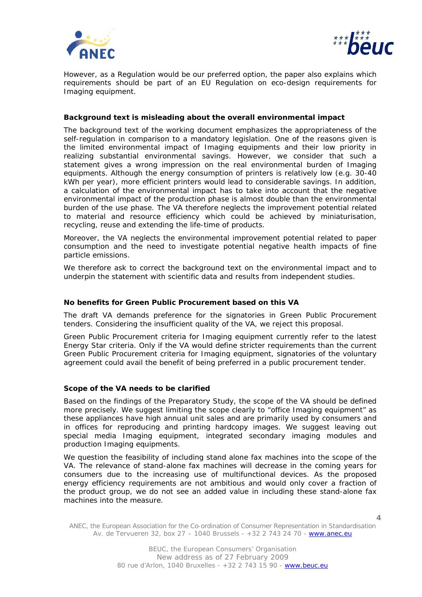



However, as a Regulation would be our preferred option, the paper also explains which requirements should be part of an EU Regulation on eco-design requirements for Imaging equipment.

# **Background text is misleading about the overall environmental impact**

The background text of the working document emphasizes the appropriateness of the self-regulation in comparison to a mandatory legislation. One of the reasons given is the limited environmental impact of Imaging equipments and their low priority in realizing substantial environmental savings. However, we consider that such a statement gives a wrong impression on the real environmental burden of Imaging equipments. Although the energy consumption of printers is relatively low (e.g. 30-40 kWh per year), more efficient printers would lead to considerable savings. In addition, a calculation of the environmental impact has to take into account that the negative environmental impact of the production phase is almost double than the environmental burden of the use phase. The VA therefore neglects the improvement potential related to material and resource efficiency which could be achieved by miniaturisation, recycling, reuse and extending the life-time of products.

Moreover, the VA neglects the environmental improvement potential related to paper consumption and the need to investigate potential negative health impacts of fine particle emissions.

We therefore ask to correct the background text on the environmental impact and to underpin the statement with scientific data and results from independent studies.

#### **No benefits for Green Public Procurement based on this VA**

The draft VA demands preference for the signatories in Green Public Procurement tenders. Considering the insufficient quality of the VA, we reject this proposal.

Green Public Procurement criteria for Imaging equipment currently refer to the latest Energy Star criteria. Only if the VA would define stricter requirements than the current Green Public Procurement criteria for Imaging equipment, signatories of the voluntary agreement could avail the benefit of being preferred in a public procurement tender.

#### **Scope of the VA needs to be clarified**

Based on the findings of the Preparatory Study, the scope of the VA should be defined more precisely. We suggest limiting the scope clearly to "office Imaging equipment" as these appliances have high annual unit sales and are primarily used by consumers and in offices for reproducing and printing hardcopy images. We suggest leaving out special media Imaging equipment, integrated secondary imaging modules and production Imaging equipments.

We question the feasibility of including stand alone fax machines into the scope of the VA. The relevance of stand-alone fax machines will decrease in the coming years for consumers due to the increasing use of multifunctional devices. As the proposed energy efficiency requirements are not ambitious and would only cover a fraction of the product group, we do not see an added value in including these stand-alone fax machines into the measure.

ANEC, the European Association for the Co-ordination of Consumer Representation in Standardisation Av. de Tervueren 32, box 27 – 1040 Brussels - +32 2 743 24 70 - www.anec.eu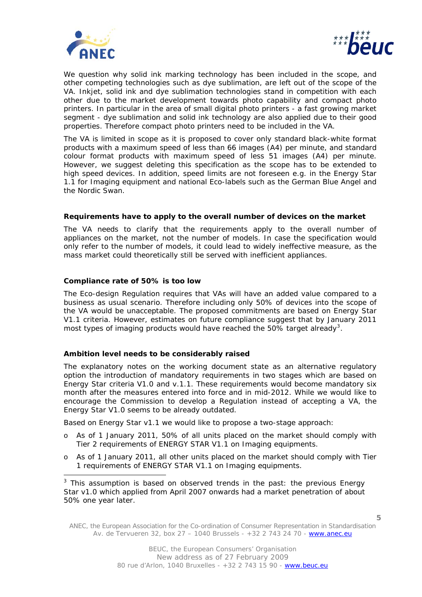



We question why solid ink marking technology has been included in the scope, and other competing technologies such as dye sublimation, are left out of the scope of the VA. Inkjet, solid ink and dye sublimation technologies stand in competition with each other due to the market development towards photo capability and compact photo printers. In particular in the area of small digital photo printers - a fast growing market segment - dye sublimation and solid ink technology are also applied due to their good properties. Therefore compact photo printers need to be included in the VA.

The VA is limited in scope as it is proposed to cover only standard black-white format products with a maximum speed of less than 66 images (A4) per minute, and standard colour format products with maximum speed of less 51 images (A4) per minute. However, we suggest deleting this specification as the scope has to be extended to high speed devices. In addition, speed limits are not foreseen e.g. in the Energy Star 1.1 for Imaging equipment and national Eco-labels such as the German Blue Angel and the Nordic Swan.

# **Requirements have to apply to the overall number of devices on the market**

The VA needs to clarify that the requirements apply to the overall number of appliances on the market, not the number of *models*. In case the specification would only refer to the number of models, it could lead to widely ineffective measure, as the mass market could theoretically still be served with inefficient appliances.

# **Compliance rate of 50% is too low**

ł

The Eco-design Regulation requires that VAs will have an added value compared to a business as usual scenario. Therefore including only 50% of devices into the scope of the VA would be unacceptable. The proposed commitments are based on Energy Star V1.1 criteria. However, estimates on future compliance suggest that by January 2011 most types of imaging products would have reached the 50% target already<sup>[3](#page-4-0)</sup>.

# **Ambition level needs to be considerably raised**

The explanatory notes on the working document state as an alternative regulatory option the introduction of mandatory requirements in two stages which are based on Energy Star criteria V1.0 and v.1.1. These requirements would become mandatory six month after the measures entered into force and in mid-2012. While we would like to encourage the Commission to develop a Regulation instead of accepting a VA, the Energy Star V1.0 seems to be already outdated.

Based on Energy Star v1.1 we would like to propose a two-stage approach:

- o As of 1 January 2011, 50% of all units placed on the market should comply with Tier 2 requirements of ENERGY STAR V1.1 on Imaging equipments.
- o As of 1 January 2011, all other units placed on the market should comply with Tier 1 requirements of ENERGY STAR V1.1 on Imaging equipments.

<span id="page-4-0"></span> $3$  This assumption is based on observed trends in the past: the previous Energy Star v1.0 which applied from April 2007 onwards had a market penetration of about 50% one year later.

ANEC, the European Association for the Co-ordination of Consumer Representation in Standardisation Av. de Tervueren 32, box 27 – 1040 Brussels - +32 2 743 24 70 - www.anec.eu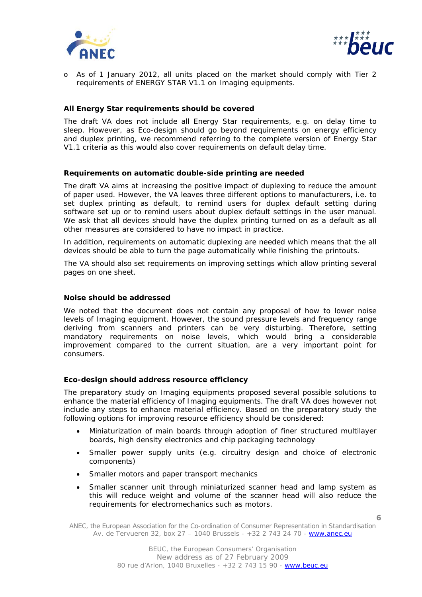



o As of 1 January 2012, all units placed on the market should comply with Tier 2 requirements of ENERGY STAR V1.1 on Imaging equipments.

# **All Energy Star requirements should be covered**

The draft VA does not include all Energy Star requirements, e.g. on delay time to sleep. However, as Eco-design should go beyond requirements on energy efficiency and duplex printing, we recommend referring to the complete version of Energy Star V1.1 criteria as this would also cover requirements on default delay time.

#### **Requirements on automatic double-side printing are needed**

The draft VA aims at increasing the positive impact of duplexing to reduce the amount of paper used. However, the VA leaves three different options to manufacturers, i.e. to set duplex printing as default, to remind users for duplex default setting during software set up or to remind users about duplex default settings in the user manual. We ask that all devices should have the duplex printing turned on as a default as all other measures are considered to have no impact in practice.

In addition, requirements on automatic duplexing are needed which means that the all devices should be able to turn the page automatically while finishing the printouts.

The VA should also set requirements on improving settings which allow printing several pages on one sheet.

#### **Noise should be addressed**

We noted that the document does not contain any proposal of how to lower noise levels of Imaging equipment. However, the sound pressure levels and frequency range deriving from scanners and printers can be very disturbing. Therefore, setting mandatory requirements on noise levels, which would bring a considerable improvement compared to the current situation, are a very important point for consumers.

#### **Eco-design should address resource efficiency**

The preparatory study on Imaging equipments proposed several possible solutions to enhance the material efficiency of Imaging equipments. The draft VA does however not include any steps to enhance material efficiency. Based on the preparatory study the following options for improving resource efficiency should be considered:

- Miniaturization of main boards through adoption of finer structured multilayer boards, high density electronics and chip packaging technology
- Smaller power supply units (e.g. circuitry design and choice of electronic components)
- Smaller motors and paper transport mechanics
- Smaller scanner unit through miniaturized scanner head and lamp system as this will reduce weight and volume of the scanner head will also reduce the requirements for electromechanics such as motors.

ANEC, the European Association for the Co-ordination of Consumer Representation in Standardisation Av. de Tervueren 32, box 27 – 1040 Brussels - +32 2 743 24 70 - www.anec.eu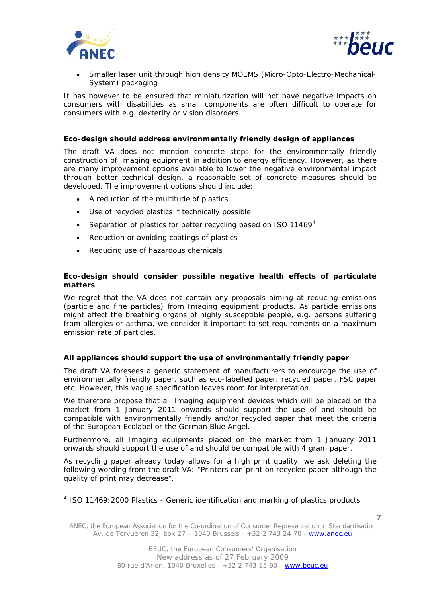

ł



• Smaller laser unit through high density MOEMS (Micro-Opto-Electro-Mechanical-System) packaging

It has however to be ensured that miniaturization will not have negative impacts on consumers with disabilities as small components are often difficult to operate for consumers with e.g. dexterity or vision disorders.

# **Eco-design should address environmentally friendly design of appliances**

The draft VA does not mention concrete steps for the environmentally friendly construction of Imaging equipment in addition to energy efficiency. However, as there are many improvement options available to lower the negative environmental impact through better technical design, a reasonable set of concrete measures should be developed. The improvement options should include:

- A reduction of the multitude of plastics
- Use of recycled plastics if technically possible
- Separation of plastics for better recycling based on ISO 11[4](#page-6-0)69 $4$
- Reduction or avoiding coatings of plastics
- Reducing use of hazardous chemicals

# **Eco-design should consider possible negative health effects of particulate matters**

We regret that the VA does not contain any proposals aiming at reducing emissions (particle and fine particles) from Imaging equipment products. As particle emissions might affect the breathing organs of highly susceptible people, e.g. persons suffering from allergies or asthma, we consider it important to set requirements on a maximum emission rate of particles.

#### **All appliances should support the use of environmentally friendly paper**

The draft VA foresees a generic statement of manufacturers to encourage the use of environmentally friendly paper, such as eco-labelled paper, recycled paper, FSC paper etc. However, this vague specification leaves room for interpretation.

We therefore propose that all Imaging equipment devices which will be placed on the market from 1 January 2011 onwards should support the use of and should be compatible with environmentally friendly and/or recycled paper that meet the criteria of the European Ecolabel or the German Blue Angel.

Furthermore, all Imaging equipments placed on the market from 1 January 2011 onwards should support the use of and should be compatible with 4 gram paper.

As recycling paper already today allows for a high print quality, we ask deleting the following wording from the draft VA: "*Printers can print on recycled paper although the quality of print may decrease*".

<span id="page-6-0"></span><sup>&</sup>lt;sup>4</sup> ISO 11469: 2000 Plastics - Generic identification and marking of plastics products

ANEC, the European Association for the Co-ordination of Consumer Representation in Standardisation Av. de Tervueren 32, box 27 – 1040 Brussels - +32 2 743 24 70 - www.anec.eu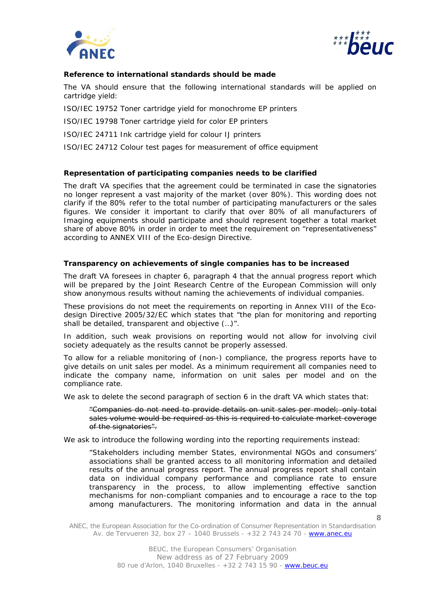



# **Reference to international standards should be made**

The VA should ensure that the following international standards will be applied on cartridge yield:

ISO/IEC 19752 Toner cartridge yield for monochrome EP printers

ISO/IEC 19798 Toner cartridge yield for color EP printers

ISO/IEC 24711 Ink cartridge yield for colour IJ printers

ISO/IEC 24712 Colour test pages for measurement of office equipment

# **Representation of participating companies needs to be clarified**

The draft VA specifies that the agreement could be terminated in case the signatories no longer represent a vast majority of the market (over 80%). This wording does not clarify if the 80% refer to the total number of participating manufacturers or the sales figures. We consider it important to clarify that over 80% of all manufacturers of Imaging equipments should participate and should represent together a total market share of above 80% in order in order to meet the requirement on "representativeness" according to ANNEX VIII of the Eco-design Directive.

# **Transparency on achievements of single companies has to be increased**

The draft VA foresees in chapter 6, paragraph 4 that the annual progress report which will be prepared by the Joint Research Centre of the European Commission will only show anonymous results without naming the achievements of individual companies.

These provisions do not meet the requirements on reporting in Annex VIII of the Ecodesign Directive 2005/32/EC which states that "the plan for monitoring and reporting shall be detailed, transparent and objective (…)".

In addition, such weak provisions on reporting would not allow for involving civil society adequately as the results cannot be properly assessed.

To allow for a reliable monitoring of (non-) compliance, the progress reports have to give details on unit sales per model. As a minimum requirement all companies need to indicate the company name, information on unit sales per model and on the compliance rate.

We ask to delete the second paragraph of section 6 in the draft VA which states that:

"*Companies do not need to provide details on unit sales per model; only total sales volume would be required as this is required to calculate market coverage of the signatories*".

We ask to introduce the following wording into the reporting requirements instead:

*"Stakeholders including member States, environmental NGOs and consumers' associations shall be granted access to all monitoring information and detailed results of the annual progress report. The annual progress report shall contain data on individual company performance and compliance rate to ensure transparency in the process, to allow implementing effective sanction mechanisms for non-compliant companies and to encourage a race to the top among manufacturers. The monitoring information and data in the annual* 

ANEC, the European Association for the Co-ordination of Consumer Representation in Standardisation Av. de Tervueren 32, box 27 – 1040 Brussels - +32 2 743 24 70 - www.anec.eu